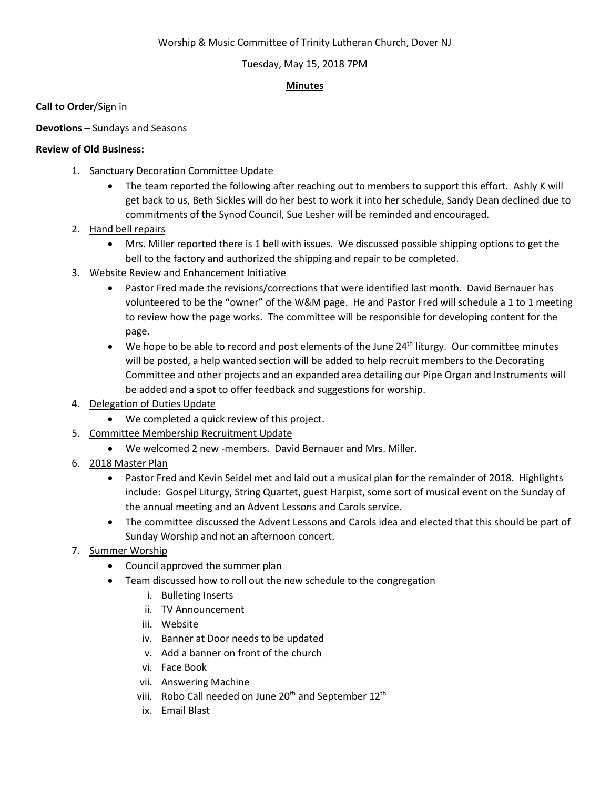# Worship & Music Committee of Trinity Lutheran Church, Dover NJ

# Tuesday, May 15, 2018 7PM

### **Minutes**

**Call to Order**/Sign in

**Devotions** – Sundays and Seasons

# **Review of Old Business:**

- 1. Sanctuary Decoration Committee Update
	- The team reported the following after reaching out to members to support this effort. Ashly K will get back to us, Beth Sickles will do her best to work it into her schedule, Sandy Dean declined due to commitments of the Synod Council, Sue Lesher will be reminded and encouraged.
- 2. Hand bell repairs
	- Mrs. Miller reported there is 1 bell with issues. We discussed possible shipping options to get the bell to the factory and authorized the shipping and repair to be completed.
- 3. Website Review and Enhancement Initiative
	- Pastor Fred made the revisions/corrections that were identified last month. David Bernauer has volunteered to be the "owner" of the W&M page. He and Pastor Fred will schedule a 1 to 1 meeting to review how the page works. The committee will be responsible for developing content for the page.
	- $\bullet$  We hope to be able to record and post elements of the June 24<sup>th</sup> liturgy. Our committee minutes will be posted, a help wanted section will be added to help recruit members to the Decorating Committee and other projects and an expanded area detailing our Pipe Organ and Instruments will be added and a spot to offer feedback and suggestions for worship.
- 4. Delegation of Duties Update
	- We completed a quick review of this project.
- 5. Committee Membership Recruitment Update
	- We welcomed 2 new -members. David Bernauer and Mrs. Miller.
- 6. 2018 Master Plan
	- Pastor Fred and Kevin Seidel met and laid out a musical plan for the remainder of 2018. Highlights include: Gospel Liturgy, String Quartet, guest Harpist, some sort of musical event on the Sunday of the annual meeting and an Advent Lessons and Carols service.
	- The committee discussed the Advent Lessons and Carols idea and elected that this should be part of Sunday Worship and not an afternoon concert.
- 7. Summer Worship
	- Council approved the summer plan
	- Team discussed how to roll out the new schedule to the congregation
		- i. Bulleting Inserts
		- ii. TV Announcement
		- iii. Website
		- iv. Banner at Door needs to be updated
		- v. Add a banner on front of the church
		- vi. Face Book
		- vii. Answering Machine
		- viii. Robo Call needed on June 20<sup>th</sup> and September 12<sup>th</sup>
		- ix. Email Blast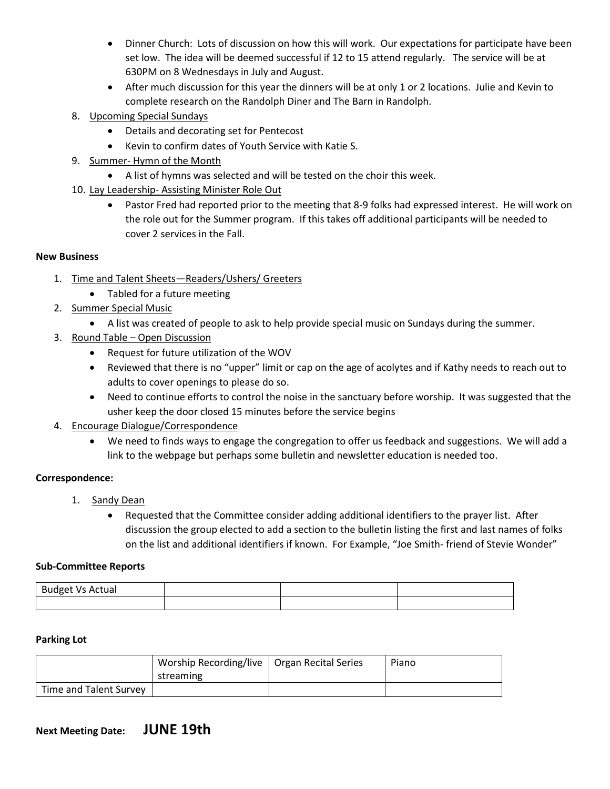- Dinner Church: Lots of discussion on how this will work. Our expectations for participate have been set low. The idea will be deemed successful if 12 to 15 attend regularly. The service will be at 630PM on 8 Wednesdays in July and August.
- After much discussion for this year the dinners will be at only 1 or 2 locations. Julie and Kevin to complete research on the Randolph Diner and The Barn in Randolph.
- 8. Upcoming Special Sundays
	- Details and decorating set for Pentecost
	- Kevin to confirm dates of Youth Service with Katie S.
- 9. Summer- Hymn of the Month
	- A list of hymns was selected and will be tested on the choir this week.
- 10. Lay Leadership- Assisting Minister Role Out
	- Pastor Fred had reported prior to the meeting that 8-9 folks had expressed interest. He will work on the role out for the Summer program. If this takes off additional participants will be needed to cover 2 services in the Fall.

# **New Business**

- 1. Time and Talent Sheets—Readers/Ushers/ Greeters
	- Tabled for a future meeting
- 2. Summer Special Music
	- A list was created of people to ask to help provide special music on Sundays during the summer.
- 3. Round Table Open Discussion
	- Request for future utilization of the WOV
	- Reviewed that there is no "upper" limit or cap on the age of acolytes and if Kathy needs to reach out to adults to cover openings to please do so.
	- Need to continue efforts to control the noise in the sanctuary before worship. It was suggested that the usher keep the door closed 15 minutes before the service begins
- 4. Encourage Dialogue/Correspondence
	- We need to finds ways to engage the congregation to offer us feedback and suggestions. We will add a link to the webpage but perhaps some bulletin and newsletter education is needed too.

# **Correspondence:**

- 1. Sandy Dean
	- Requested that the Committee consider adding additional identifiers to the prayer list. After discussion the group elected to add a section to the bulletin listing the first and last names of folks on the list and additional identifiers if known. For Example, "Joe Smith- friend of Stevie Wonder"

### **Sub-Committee Reports**

| Budget Vs<br>: Actual |  |  |
|-----------------------|--|--|
|                       |  |  |

### **Parking Lot**

|                        | Worship Recording/live   Organ Recital Series | Piano |
|------------------------|-----------------------------------------------|-------|
|                        | streaming                                     |       |
| Time and Talent Survey |                                               |       |